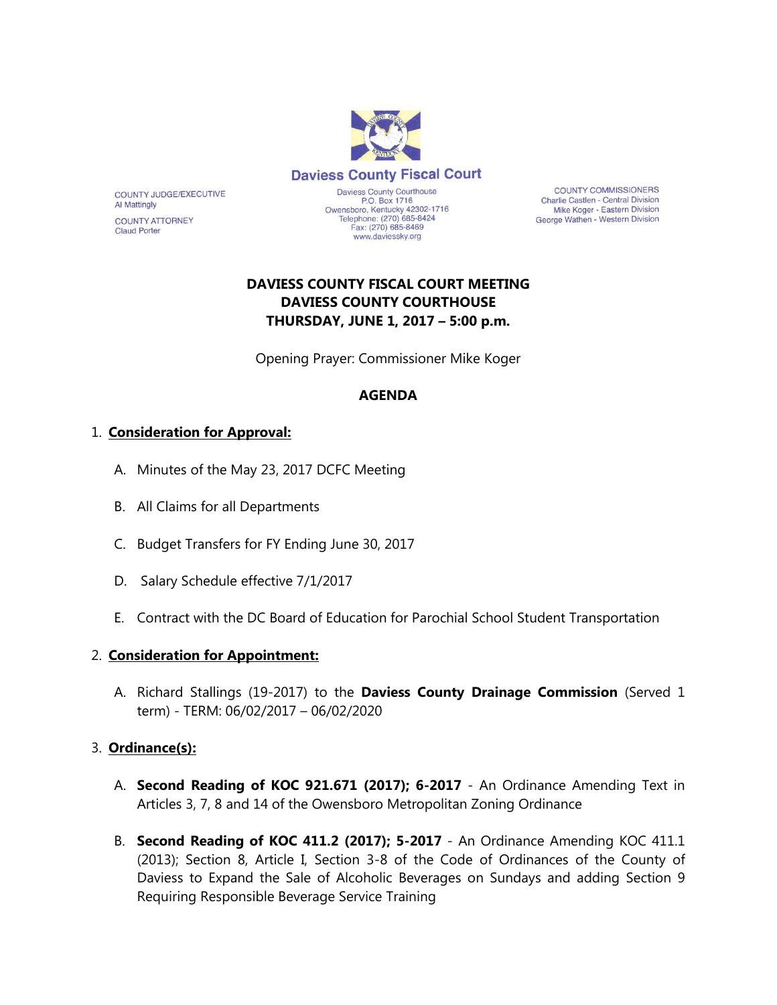

**COUNTY COMMISSIONERS** Charlie Castlen - Central Division Mike Koger - Eastern Division George Wathen - Western Division

# **DAVIESS COUNTY FISCAL COURT MEETING DAVIESS COUNTY COURTHOUSE THURSDAY, JUNE 1, 2017 – 5:00 p.m.**

Opening Prayer: Commissioner Mike Koger

### **AGENDA**

### 1. **Consideration for Approval:**

COUNTY JUDGE/EXECUTIVE

**COUNTY ATTORNEY** 

**Al Mattingly** 

**Claud Porter** 

- A. Minutes of the May 23, 2017 DCFC Meeting
- B. All Claims for all Departments
- C. Budget Transfers for FY Ending June 30, 2017
- D. Salary Schedule effective 7/1/2017
- E. Contract with the DC Board of Education for Parochial School Student Transportation

#### 2. **Consideration for Appointment:**

A. Richard Stallings (19-2017) to the **Daviess County Drainage Commission** (Served 1 term) - TERM: 06/02/2017 – 06/02/2020

### 3. **Ordinance(s):**

- A. **Second Reading of KOC 921.671 (2017); 6-2017** An Ordinance Amending Text in Articles 3, 7, 8 and 14 of the Owensboro Metropolitan Zoning Ordinance
- B. **Second Reading of KOC 411.2 (2017); 5-2017** An Ordinance Amending KOC 411.1 (2013); Section 8, Article I, Section 3-8 of the Code of Ordinances of the County of Daviess to Expand the Sale of Alcoholic Beverages on Sundays and adding Section 9 Requiring Responsible Beverage Service Training